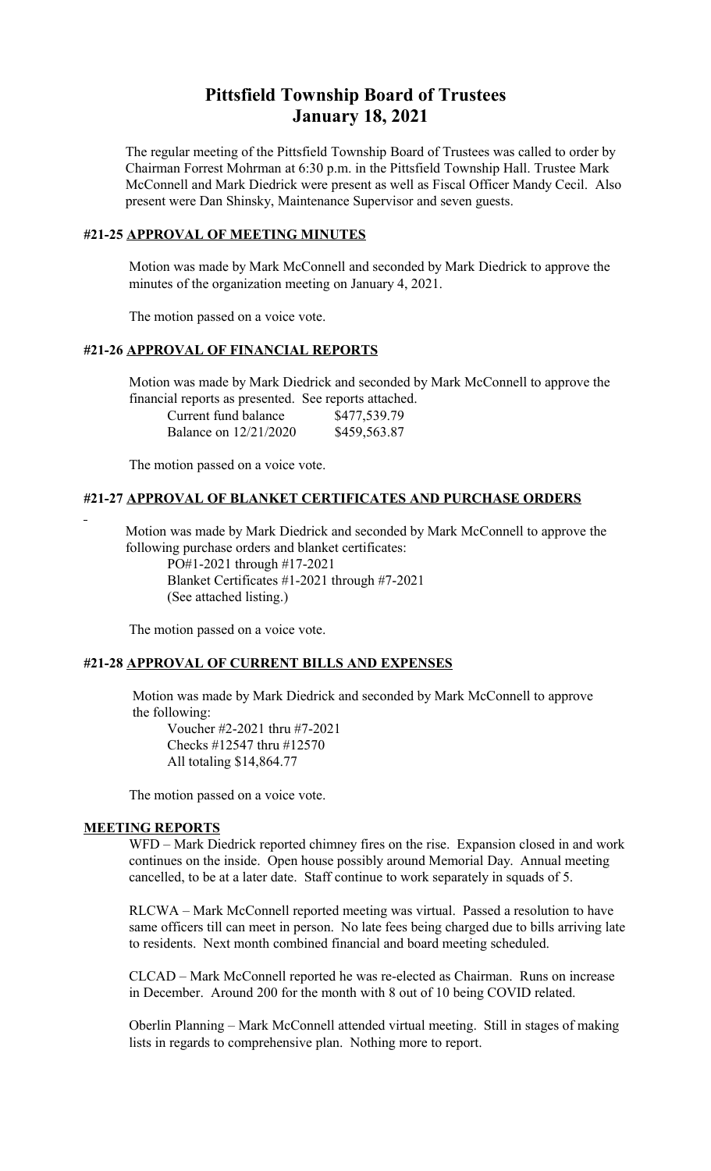# **Pittsfield Township Board of Trustees January 18, 2021**

The regular meeting of the Pittsfield Township Board of Trustees was called to order by Chairman Forrest Mohrman at 6:30 p.m. in the Pittsfield Township Hall. Trustee Mark McConnell and Mark Diedrick were present as well as Fiscal Officer Mandy Cecil. Also present were Dan Shinsky, Maintenance Supervisor and seven guests.

## **#21-25 APPROVAL OF MEETING MINUTES**

 Motion was made by Mark McConnell and seconded by Mark Diedrick to approve the minutes of the organization meeting on January 4, 2021.

The motion passed on a voice vote.

# **#21-26 APPROVAL OF FINANCIAL REPORTS**

 Motion was made by Mark Diedrick and seconded by Mark McConnell to approve the financial reports as presented. See reports attached.

| Current fund balance  | \$477,539.79 |
|-----------------------|--------------|
| Balance on 12/21/2020 | \$459,563.87 |

The motion passed on a voice vote.

## **#21-27 APPROVAL OF BLANKET CERTIFICATES AND PURCHASE ORDERS**

 Motion was made by Mark Diedrick and seconded by Mark McConnell to approve the following purchase orders and blanket certificates:

PO#1-2021 through #17-2021 Blanket Certificates #1-2021 through #7-2021 (See attached listing.)

The motion passed on a voice vote.

## **#21-28 APPROVAL OF CURRENT BILLS AND EXPENSES**

 Motion was made by Mark Diedrick and seconded by Mark McConnell to approve the following:

Voucher #2-2021 thru #7-2021 Checks #12547 thru #12570 All totaling \$14,864.77

The motion passed on a voice vote.

#### **MEETING REPORTS**

WFD – Mark Diedrick reported chimney fires on the rise. Expansion closed in and work continues on the inside. Open house possibly around Memorial Day. Annual meeting cancelled, to be at a later date. Staff continue to work separately in squads of 5.

RLCWA – Mark McConnell reported meeting was virtual. Passed a resolution to have same officers till can meet in person. No late fees being charged due to bills arriving late to residents. Next month combined financial and board meeting scheduled.

CLCAD – Mark McConnell reported he was re-elected as Chairman. Runs on increase in December. Around 200 for the month with 8 out of 10 being COVID related.

Oberlin Planning – Mark McConnell attended virtual meeting. Still in stages of making lists in regards to comprehensive plan. Nothing more to report.